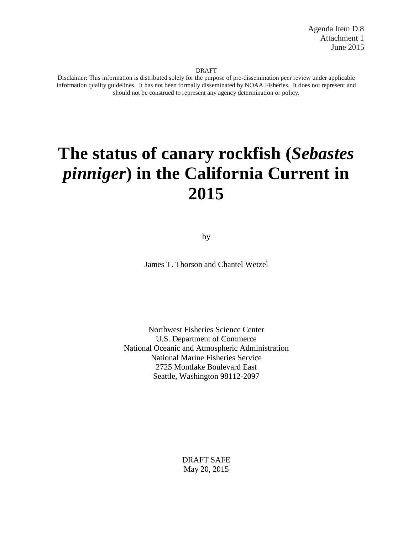#### DRAFT

Disclaimer: This information is distributed solely for the purpose of pre-dissemination peer review under applicable information quality guidelines. It has not been formally disseminated by NOAA Fisheries. It does not represent and should not be construed to represent any agency determination or policy.

# **The status of canary rockfish (***Sebastes pinniger***) in the California Current in 2015**

by

James T. Thorson and Chantel Wetzel

Northwest Fisheries Science Center U.S. Department of Commerce National Oceanic and Atmospheric Administration National Marine Fisheries Service 2725 Montlake Boulevard East Seattle, Washington 98112-2097

> DRAFT SAFE May 20, 2015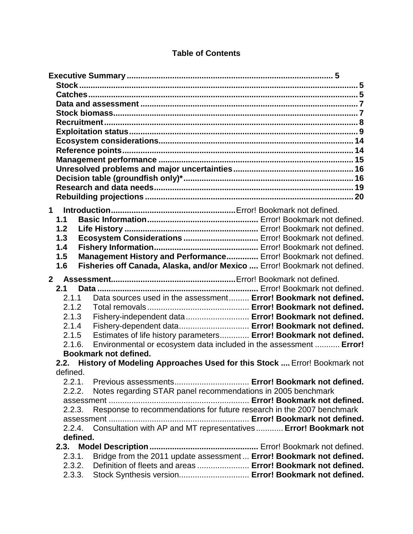| $\mathbf 1$           |                                                                              |  |
|-----------------------|------------------------------------------------------------------------------|--|
| 1.1                   |                                                                              |  |
| 1.2                   |                                                                              |  |
| 1.3                   | Ecosystem Considerations  Error! Bookmark not defined.                       |  |
| 1.4                   |                                                                              |  |
| 1.5                   | Management History and Performance Error! Bookmark not defined.              |  |
| 1.6                   | Fisheries off Canada, Alaska, and/or Mexico  Error! Bookmark not defined.    |  |
|                       |                                                                              |  |
| 2 <sup>7</sup><br>2.1 |                                                                              |  |
| 2.1.1                 | Data sources used in the assessment Error! Bookmark not defined.             |  |
| 2.1.2                 |                                                                              |  |
| 2.1.3                 | Fishery-independent data  Error! Bookmark not defined.                       |  |
| 2.1.4                 | Fishery-dependent data Error! Bookmark not defined.                          |  |
| 2.1.5                 | Estimates of life history parameters Error! Bookmark not defined.            |  |
| 2.1.6.                | Environmental or ecosystem data included in the assessment  Error!           |  |
|                       | Bookmark not defined.                                                        |  |
|                       | 2.2. History of Modeling Approaches Used for this Stock  Error! Bookmark not |  |
| defined.              |                                                                              |  |
|                       |                                                                              |  |
| 2.2.2.                | Notes regarding STAR panel recommendations in 2005 benchmark                 |  |
|                       |                                                                              |  |
| 2.2.3.                | Response to recommendations for future research in the 2007 benchmark        |  |
|                       |                                                                              |  |
|                       | 2.2.4. Consultation with AP and MT representatives  Error! Bookmark not      |  |
| defined.              |                                                                              |  |
|                       |                                                                              |  |
| 2.3.1.                | Bridge from the 2011 update assessment  Error! Bookmark not defined.         |  |
| 2.3.2.                | Definition of fleets and areas  Error! Bookmark not defined.                 |  |
| 2.3.3.                | Stock Synthesis version Error! Bookmark not defined.                         |  |

## **Table of Contents**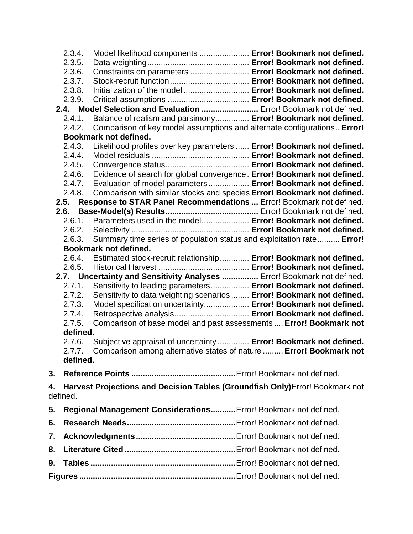|    | 2.3.4.   | Model likelihood components  Error! Bookmark not defined.                     |  |  |
|----|----------|-------------------------------------------------------------------------------|--|--|
|    | 2.3.5.   |                                                                               |  |  |
|    | 2.3.6.   | Constraints on parameters  Error! Bookmark not defined.                       |  |  |
|    | 2.3.7.   |                                                                               |  |  |
|    | 2.3.8.   | Initialization of the model  Error! Bookmark not defined.                     |  |  |
|    | 2.3.9.   |                                                                               |  |  |
|    |          | 2.4. Model Selection and Evaluation  Error! Bookmark not defined.             |  |  |
|    | 2.4.1.   | Balance of realism and parsimony Error! Bookmark not defined.                 |  |  |
|    | 2.4.2.   | Comparison of key model assumptions and alternate configurations Error!       |  |  |
|    |          | Bookmark not defined.                                                         |  |  |
|    | 2.4.3.   | Likelihood profiles over key parameters  Error! Bookmark not defined.         |  |  |
|    | 2.4.4.   |                                                                               |  |  |
|    | 2.4.5.   |                                                                               |  |  |
|    | 2.4.6.   | Evidence of search for global convergence. Error! Bookmark not defined.       |  |  |
|    | 2.4.7.   | Evaluation of model parameters  Error! Bookmark not defined.                  |  |  |
|    | 2.4.8.   | Comparison with similar stocks and species Error! Bookmark not defined.       |  |  |
|    |          | 2.5. Response to STAR Panel Recommendations  Error! Bookmark not defined.     |  |  |
|    | 2.6.     |                                                                               |  |  |
|    | 2.6.1.   | Parameters used in the model Error! Bookmark not defined.                     |  |  |
|    | 2.6.2.   |                                                                               |  |  |
|    | 2.6.3.   | Summary time series of population status and exploitation rate Error!         |  |  |
|    |          | Bookmark not defined.                                                         |  |  |
|    | 2.6.4.   | Estimated stock-recruit relationship Error! Bookmark not defined.             |  |  |
|    | 2.6.5.   |                                                                               |  |  |
|    |          | 2.7. Uncertainty and Sensitivity Analyses  Error! Bookmark not defined.       |  |  |
|    | 2.7.1.   | Sensitivity to leading parameters Error! Bookmark not defined.                |  |  |
|    | 2.7.2.   | Sensitivity to data weighting scenarios  Error! Bookmark not defined.         |  |  |
|    | 2.7.3.   | Model specification uncertainty Error! Bookmark not defined.                  |  |  |
|    | 2.7.4.   | Retrospective analysis Error! Bookmark not defined.                           |  |  |
|    | 2.7.5.   | Comparison of base model and past assessments  Error! Bookmark not            |  |  |
|    | defined. |                                                                               |  |  |
|    | 2.7.6.   | Subjective appraisal of uncertainty  Error! Bookmark not defined.             |  |  |
|    | 2.7.7.   | Comparison among alternative states of nature  Error! Bookmark not            |  |  |
|    | defined. |                                                                               |  |  |
| 3. |          |                                                                               |  |  |
| 4. |          | Harvest Projections and Decision Tables (Groundfish Only) Error! Bookmark not |  |  |
|    | defined. |                                                                               |  |  |
| 5. |          | Regional Management Considerations Error! Bookmark not defined.               |  |  |
| 6. |          |                                                                               |  |  |
| 7. |          |                                                                               |  |  |
| 8. |          |                                                                               |  |  |
| 9. |          |                                                                               |  |  |
|    |          |                                                                               |  |  |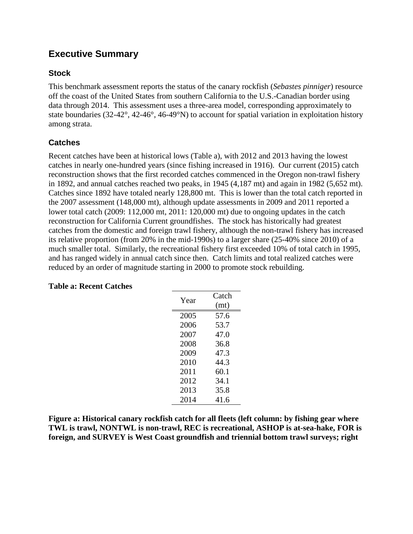## <span id="page-4-0"></span>**Executive Summary**

## <span id="page-4-1"></span>**Stock**

This benchmark assessment reports the status of the canary rockfish (*Sebastes pinniger*) resource off the coast of the United States from southern California to the U.S.-Canadian border using data through 2014. This assessment uses a three-area model, corresponding approximately to state boundaries (32-42°, 42-46°, 46-49°N) to account for spatial variation in exploitation history among strata.

## <span id="page-4-2"></span>**Catches**

Recent catches have been at historical lows (Table a), with 2012 and 2013 having the lowest catches in nearly one-hundred years (since fishing increased in 1916). Our current (2015) catch reconstruction shows that the first recorded catches commenced in the Oregon non-trawl fishery in 1892, and annual catches reached two peaks, in 1945 (4,187 mt) and again in 1982 (5,652 mt). Catches since 1892 have totaled nearly 128,800 mt. This is lower than the total catch reported in the 2007 assessment (148,000 mt), although update assessments in 2009 and 2011 reported a lower total catch (2009: 112,000 mt, 2011: 120,000 mt) due to ongoing updates in the catch reconstruction for California Current groundfishes. The stock has historically had greatest catches from the domestic and foreign trawl fishery, although the non-trawl fishery has increased its relative proportion (from 20% in the mid-1990s) to a larger share (25-40% since 2010) of a much smaller total. Similarly, the recreational fishery first exceeded 10% of total catch in 1995, and has ranged widely in annual catch since then. Catch limits and total realized catches were reduced by an order of magnitude starting in 2000 to promote stock rebuilding.

| Year | Catch |
|------|-------|
|      | (mt)  |
| 2005 | 57.6  |
| 2006 | 53.7  |
| 2007 | 47.0  |
| 2008 | 36.8  |
| 2009 | 47.3  |
| 2010 | 44.3  |
| 2011 | 60.1  |
| 2012 | 34.1  |
| 2013 | 35.8  |
| 2014 | 41.6  |

## **Table a: Recent Catches**

**Figure a: Historical canary rockfish catch for all fleets (left column: by fishing gear where TWL is trawl, NONTWL is non-trawl, REC is recreational, ASHOP is at-sea-hake, FOR is foreign, and SURVEY is West Coast groundfish and triennial bottom trawl surveys; right**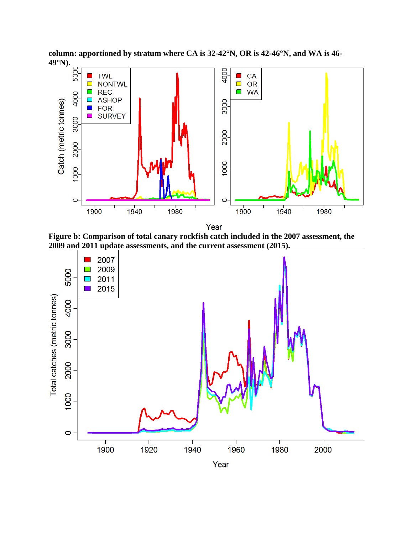**column: apportioned by stratum where CA is 32-42°N, OR is 42-46°N, and WA is 46- 49°N).**



Year

**Figure b: Comparison of total canary rockfish catch included in the 2007 assessment, the 2009 and 2011 update assessments, and the current assessment (2015).**

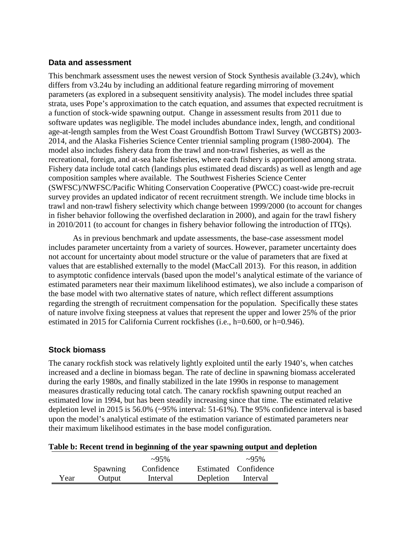#### <span id="page-6-0"></span>**Data and assessment**

This benchmark assessment uses the newest version of Stock Synthesis available (3.24v), which differs from v3.24u by including an additional feature regarding mirroring of movement parameters (as explored in a subsequent sensitivity analysis). The model includes three spatial strata, uses Pope's approximation to the catch equation, and assumes that expected recruitment is a function of stock-wide spawning output. Change in assessment results from 2011 due to software updates was negligible. The model includes abundance index, length, and conditional age-at-length samples from the West Coast Groundfish Bottom Trawl Survey (WCGBTS) 2003- 2014, and the Alaska Fisheries Science Center triennial sampling program (1980-2004). The model also includes fishery data from the trawl and non-trawl fisheries, as well as the recreational, foreign, and at-sea hake fisheries, where each fishery is apportioned among strata. Fishery data include total catch (landings plus estimated dead discards) as well as length and age composition samples where available. The Southwest Fisheries Science Center (SWFSC)/NWFSC/Pacific Whiting Conservation Cooperative (PWCC) coast-wide pre-recruit survey provides an updated indicator of recent recruitment strength. We include time blocks in trawl and non-trawl fishery selectivity which change between 1999/2000 (to account for changes in fisher behavior following the overfished declaration in 2000), and again for the trawl fishery in 2010/2011 (to account for changes in fishery behavior following the introduction of ITQs).

As in previous benchmark and update assessments, the base-case assessment model includes parameter uncertainty from a variety of sources. However, parameter uncertainty does not account for uncertainty about model structure or the value of parameters that are fixed at values that are established externally to the model (MacCall 2013). For this reason, in addition to asymptotic confidence intervals (based upon the model's analytical estimate of the variance of estimated parameters near their maximum likelihood estimates), we also include a comparison of the base model with two alternative states of nature, which reflect different assumptions regarding the strength of recruitment compensation for the population. Specifically these states of nature involve fixing steepness at values that represent the upper and lower 25% of the prior estimated in 2015 for California Current rockfishes (i.e., h=0.600, or h=0.946).

#### <span id="page-6-1"></span>**Stock biomass**

The canary rockfish stock was relatively lightly exploited until the early 1940's, when catches increased and a decline in biomass began. The rate of decline in spawning biomass accelerated during the early 1980s, and finally stabilized in the late 1990s in response to management measures drastically reducing total catch. The canary rockfish spawning output reached an estimated low in 1994, but has been steadily increasing since that time. The estimated relative depletion level in 2015 is 56.0% (~95% interval: 51-61%). The 95% confidence interval is based upon the model's analytical estimate of the estimation variance of estimated parameters near their maximum likelihood estimates in the base model configuration.

|      |          | $\sim 95\%$ |           | $\sim 95\%$          |
|------|----------|-------------|-----------|----------------------|
|      | Spawning | Confidence  |           | Estimated Confidence |
| Year | Output   | Interval    | Depletion | Interval             |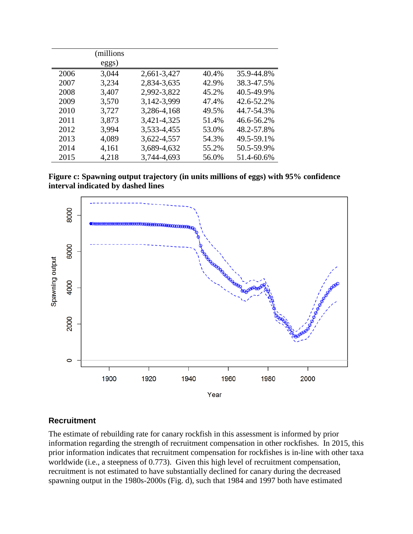|      | (millions<br>eggs) |             |       |            |
|------|--------------------|-------------|-------|------------|
| 2006 | 3,044              | 2,661-3,427 | 40.4% | 35.9-44.8% |
| 2007 | 3,234              | 2,834-3,635 | 42.9% | 38.3-47.5% |
| 2008 | 3,407              | 2,992-3,822 | 45.2% | 40.5-49.9% |
| 2009 | 3,570              | 3,142-3,999 | 47.4% | 42.6-52.2% |
| 2010 | 3,727              | 3,286-4,168 | 49.5% | 44.7-54.3% |
| 2011 | 3,873              | 3,421-4,325 | 51.4% | 46.6-56.2% |
| 2012 | 3,994              | 3,533-4,455 | 53.0% | 48.2-57.8% |
| 2013 | 4,089              | 3,622-4,557 | 54.3% | 49.5-59.1% |
| 2014 | 4,161              | 3,689-4,632 | 55.2% | 50.5-59.9% |
| 2015 | 4,218              | 3,744-4,693 | 56.0% | 51.4-60.6% |

**Figure c: Spawning output trajectory (in units millions of eggs) with 95% confidence interval indicated by dashed lines**



#### <span id="page-7-0"></span>**Recruitment**

The estimate of rebuilding rate for canary rockfish in this assessment is informed by prior information regarding the strength of recruitment compensation in other rockfishes. In 2015, this prior information indicates that recruitment compensation for rockfishes is in-line with other taxa worldwide (i.e., a steepness of 0.773). Given this high level of recruitment compensation, recruitment is not estimated to have substantially declined for canary during the decreased spawning output in the 1980s-2000s (Fig. d), such that 1984 and 1997 both have estimated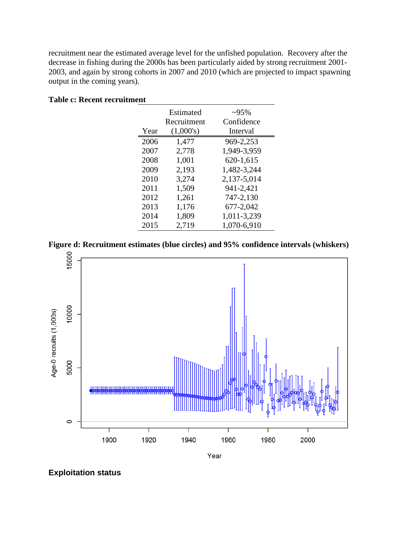recruitment near the estimated average level for the unfished population. Recovery after the decrease in fishing during the 2000s has been particularly aided by strong recruitment 2001- 2003, and again by strong cohorts in 2007 and 2010 (which are projected to impact spawning output in the coming years).

|      | Estimated<br>Recruitment | $\sim 95\%$<br>Confidence |
|------|--------------------------|---------------------------|
| Year | (1,000's)                | Interval                  |
| 2006 | 1,477                    | 969-2,253                 |
| 2007 | 2,778                    | 1,949-3,959               |
| 2008 | 1,001                    | 620-1,615                 |
| 2009 | 2,193                    | 1,482-3,244               |
| 2010 | 3,274                    | 2,137-5,014               |
| 2011 | 1,509                    | 941-2,421                 |
| 2012 | 1,261                    | 747-2,130                 |
| 2013 | 1,176                    | 677-2,042                 |
| 2014 | 1,809                    | 1,011-3,239               |
| 2015 | 2,719                    | 1,070-6,910               |

#### **Table c: Recent recruitment**





<span id="page-8-0"></span>**Exploitation status**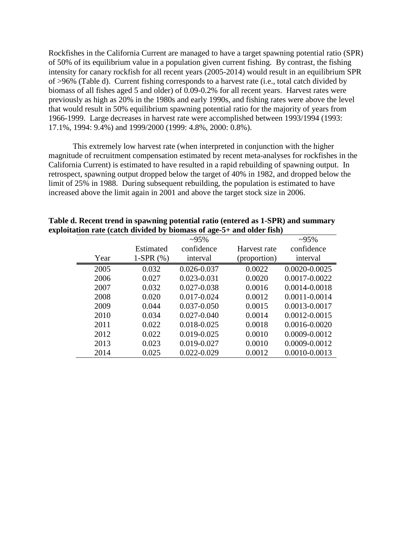Rockfishes in the California Current are managed to have a target spawning potential ratio (SPR) of 50% of its equilibrium value in a population given current fishing. By contrast, the fishing intensity for canary rockfish for all recent years (2005-2014) would result in an equilibrium SPR of >96% (Table d). Current fishing corresponds to a harvest rate (i.e., total catch divided by biomass of all fishes aged 5 and older) of 0.09-0.2% for all recent years. Harvest rates were previously as high as 20% in the 1980s and early 1990s, and fishing rates were above the level that would result in 50% equilibrium spawning potential ratio for the majority of years from 1966-1999. Large decreases in harvest rate were accomplished between 1993/1994 (1993: 17.1%, 1994: 9.4%) and 1999/2000 (1999: 4.8%, 2000: 0.8%).

This extremely low harvest rate (when interpreted in conjunction with the higher magnitude of recruitment compensation estimated by recent meta-analyses for rockfishes in the California Current) is estimated to have resulted in a rapid rebuilding of spawning output. In retrospect, spawning output dropped below the target of 40% in 1982, and dropped below the limit of 25% in 1988. During subsequent rebuilding, the population is estimated to have increased above the limit again in 2001 and above the target stock size in 2006.

|      |             | $\sim 95\%$     |              | $~295\%$      |
|------|-------------|-----------------|--------------|---------------|
|      | Estimated   | confidence      | Harvest rate | confidence    |
| Year | 1-SPR $(%)$ | interval        | (proportion) | interval      |
| 2005 | 0.032       | 0.026-0.037     | 0.0022       | 0.0020-0.0025 |
| 2006 | 0.027       | 0.023-0.031     | 0.0020       | 0.0017-0.0022 |
| 2007 | 0.032       | 0.027-0.038     | 0.0016       | 0.0014-0.0018 |
| 2008 | 0.020       | 0.017-0.024     | 0.0012       | 0.0011-0.0014 |
| 2009 | 0.044       | 0.037-0.050     | 0.0015       | 0.0013-0.0017 |
| 2010 | 0.034       | $0.027 - 0.040$ | 0.0014       | 0.0012-0.0015 |
| 2011 | 0.022       | 0.018-0.025     | 0.0018       | 0.0016-0.0020 |
| 2012 | 0.022       | 0.019-0.025     | 0.0010       | 0.0009-0.0012 |
| 2013 | 0.023       | 0.019-0.027     | 0.0010       | 0.0009-0.0012 |
| 2014 | 0.025       | 0.022-0.029     | 0.0012       | 0.0010-0.0013 |

**Table d. Recent trend in spawning potential ratio (entered as 1-SPR) and summary exploitation rate (catch divided by biomass of age-5+ and older fish)**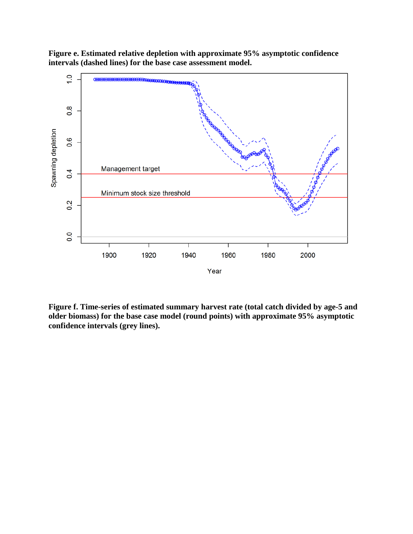**Figure e. Estimated relative depletion with approximate 95% asymptotic confidence intervals (dashed lines) for the base case assessment model.**



**Figure f. Time-series of estimated summary harvest rate (total catch divided by age-5 and older biomass) for the base case model (round points) with approximate 95% asymptotic confidence intervals (grey lines).**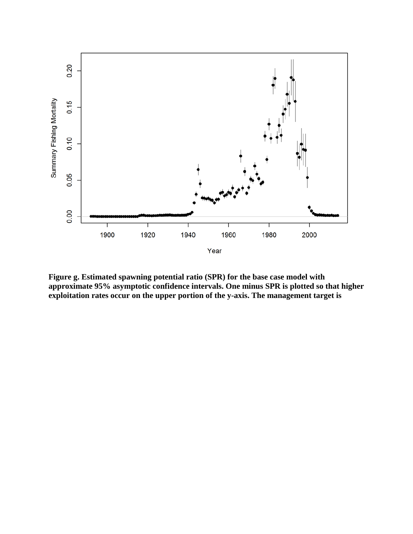

**Figure g. Estimated spawning potential ratio (SPR) for the base case model with approximate 95% asymptotic confidence intervals. One minus SPR is plotted so that higher exploitation rates occur on the upper portion of the y-axis. The management target is**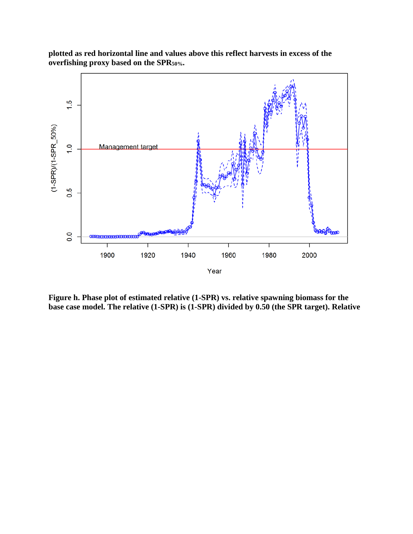

**plotted as red horizontal line and values above this reflect harvests in excess of the overfishing proxy based on the SPR50%.**

**Figure h. Phase plot of estimated relative (1-SPR) vs. relative spawning biomass for the base case model. The relative (1-SPR) is (1-SPR) divided by 0.50 (the SPR target). Relative**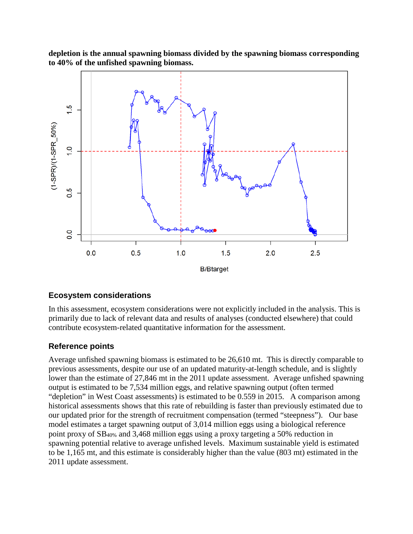**depletion is the annual spawning biomass divided by the spawning biomass corresponding to 40% of the unfished spawning biomass.** 



## <span id="page-13-0"></span>**Ecosystem considerations**

In this assessment, ecosystem considerations were not explicitly included in the analysis. This is primarily due to lack of relevant data and results of analyses (conducted elsewhere) that could contribute ecosystem-related quantitative information for the assessment.

## <span id="page-13-1"></span>**Reference points**

Average unfished spawning biomass is estimated to be 26,610 mt. This is directly comparable to previous assessments, despite our use of an updated maturity-at-length schedule, and is slightly lower than the estimate of 27,846 mt in the 2011 update assessment. Average unfished spawning output is estimated to be 7,534 million eggs, and relative spawning output (often termed "depletion" in West Coast assessments) is estimated to be 0.559 in 2015. A comparison among historical assessments shows that this rate of rebuilding is faster than previously estimated due to our updated prior for the strength of recruitment compensation (termed "steepness"). Our base model estimates a target spawning output of 3,014 million eggs using a biological reference point proxy of SB40% and 3,468 million eggs using a proxy targeting a 50% reduction in spawning potential relative to average unfished levels. Maximum sustainable yield is estimated to be 1,165 mt, and this estimate is considerably higher than the value (803 mt) estimated in the 2011 update assessment.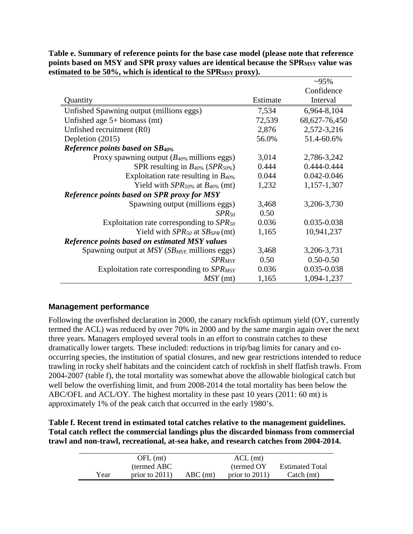|                                                              |          | $\sim 95\%$     |
|--------------------------------------------------------------|----------|-----------------|
|                                                              |          | Confidence      |
| Quantity                                                     | Estimate | Interval        |
| Unfished Spawning output (millions eggs)                     | 7,534    | 6,964-8,104     |
| Unfished age $5+$ biomass (mt)                               | 72,539   | 68,627-76,450   |
| Unfished recruitment (R0)                                    | 2,876    | 2,572-3,216     |
| Depletion (2015)                                             | 56.0%    | 51.4-60.6%      |
| <b>Reference points based on SB40%</b>                       |          |                 |
| Proxy spawning output $(B_{40\%}\text{ millions eggs})$      | 3,014    | 2,786-3,242     |
| SPR resulting in $B_{40\%}$ (SPR <sub>50%</sub> )            | 0.444    | 0.444-0.444     |
| Exploitation rate resulting in $B_{40\%}$                    | 0.044    | $0.042 - 0.046$ |
| Yield with $SPR_{50\%}$ at $B_{40\%}$ (mt)                   | 1,232    | 1,157-1,307     |
| <b>Reference points based on SPR proxy for MSY</b>           |          |                 |
| Spawning output (millions eggs)                              | 3,468    | 3,206-3,730     |
| $SPR_{50}$                                                   | 0.50     |                 |
| Exploitation rate corresponding to $SPR_{50}$                | 0.036    | 0.035-0.038     |
| Yield with $SPR_{50}$ at $SB_{SPR}$ (mt)                     | 1,165    | 10,941,237      |
| <b>Reference points based on estimated MSY values</b>        |          |                 |
| Spawning output at $MSY$ (SB <sub>MSY</sub> , millions eggs) | 3,468    | 3,206-3,731     |
| <b>SPR<sub>MSY</sub></b>                                     | 0.50     | $0.50 - 0.50$   |
| Exploitation rate corresponding to SPR <sub>MSY</sub>        | 0.036    | 0.035-0.038     |
| $MSY$ (mt)                                                   | 1,165    | 1,094-1,237     |

**Table e. Summary of reference points for the base case model (please note that reference**  points based on MSY and SPR proxy values are identical because the SPR<sub>MSY</sub> value was estimated to be 50%, which is identical to the SPR<sub>MSY</sub> proxy).

## <span id="page-14-0"></span>**Management performance**

Following the overfished declaration in 2000, the canary rockfish optimum yield (OY, currently termed the ACL) was reduced by over 70% in 2000 and by the same margin again over the next three years. Managers employed several tools in an effort to constrain catches to these dramatically lower targets. These included: reductions in trip/bag limits for canary and cooccurring species, the institution of spatial closures, and new gear restrictions intended to reduce trawling in rocky shelf habitats and the coincident catch of rockfish in shelf flatfish trawls. From 2004-2007 (table f), the total mortality was somewhat above the allowable biological catch but well below the overfishing limit, and from 2008-2014 the total mortality has been below the ABC/OFL and ACL/OY. The highest mortality in these past 10 years (2011: 60 mt) is approximately 1% of the peak catch that occurred in the early 1980's.

**Table f. Recent trend in estimated total catches relative to the management guidelines. Total catch reflect the commercial landings plus the discarded biomass from commercial trawl and non-trawl, recreational, at-sea hake, and research catches from 2004-2014.**

|      | OFL (mt)          |            | $ACL$ (mt)        |                           |
|------|-------------------|------------|-------------------|---------------------------|
|      | (termed ABC)      |            | (termed OY)       | <b>Estimated Total</b>    |
| Year | prior to $2011$ ) | $ABC$ (mt) | prior to $2011$ ) | $\text{Catch}(\text{mt})$ |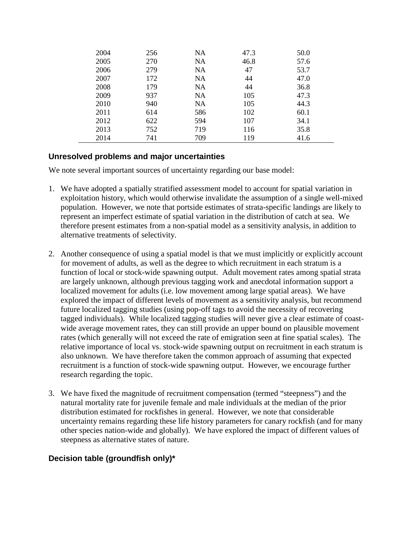| 2004 | 256 | NA        | 47.3 | 50.0 |
|------|-----|-----------|------|------|
| 2005 | 270 | NA        | 46.8 | 57.6 |
| 2006 | 279 | NA        | 47   | 53.7 |
| 2007 | 172 | NA        | 44   | 47.0 |
| 2008 | 179 | <b>NA</b> | 44   | 36.8 |
| 2009 | 937 | NA        | 105  | 47.3 |
| 2010 | 940 | NA        | 105  | 44.3 |
| 2011 | 614 | 586       | 102  | 60.1 |
| 2012 | 622 | 594       | 107  | 34.1 |
| 2013 | 752 | 719       | 116  | 35.8 |
| 2014 | 741 | 709       | 119  | 41.6 |

## <span id="page-15-0"></span>**Unresolved problems and major uncertainties**

We note several important sources of uncertainty regarding our base model:

- 1. We have adopted a spatially stratified assessment model to account for spatial variation in exploitation history, which would otherwise invalidate the assumption of a single well-mixed population. However, we note that portside estimates of strata-specific landings are likely to represent an imperfect estimate of spatial variation in the distribution of catch at sea. We therefore present estimates from a non-spatial model as a sensitivity analysis, in addition to alternative treatments of selectivity.
- 2. Another consequence of using a spatial model is that we must implicitly or explicitly account for movement of adults, as well as the degree to which recruitment in each stratum is a function of local or stock-wide spawning output. Adult movement rates among spatial strata are largely unknown, although previous tagging work and anecdotal information support a localized movement for adults (i.e. low movement among large spatial areas). We have explored the impact of different levels of movement as a sensitivity analysis, but recommend future localized tagging studies (using pop-off tags to avoid the necessity of recovering tagged individuals). While localized tagging studies will never give a clear estimate of coastwide average movement rates, they can still provide an upper bound on plausible movement rates (which generally will not exceed the rate of emigration seen at fine spatial scales). The relative importance of local vs. stock-wide spawning output on recruitment in each stratum is also unknown. We have therefore taken the common approach of assuming that expected recruitment is a function of stock-wide spawning output. However, we encourage further research regarding the topic.
- 3. We have fixed the magnitude of recruitment compensation (termed "steepness") and the natural mortality rate for juvenile female and male individuals at the median of the prior distribution estimated for rockfishes in general. However, we note that considerable uncertainty remains regarding these life history parameters for canary rockfish (and for many other species nation-wide and globally). We have explored the impact of different values of steepness as alternative states of nature.

## <span id="page-15-1"></span>**Decision table (groundfish only)\***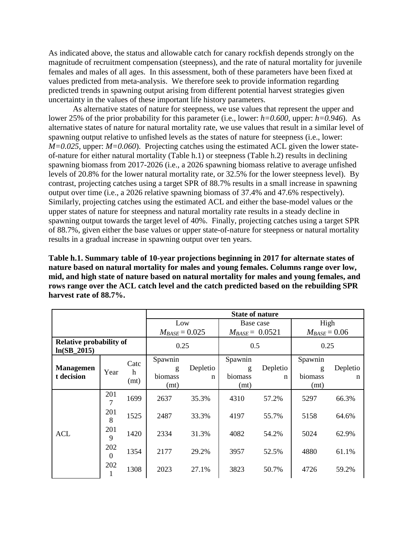As indicated above, the status and allowable catch for canary rockfish depends strongly on the magnitude of recruitment compensation (steepness), and the rate of natural mortality for juvenile females and males of all ages. In this assessment, both of these parameters have been fixed at values predicted from meta-analysis. We therefore seek to provide information regarding predicted trends in spawning output arising from different potential harvest strategies given uncertainty in the values of these important life history parameters.

As alternative states of nature for steepness, we use values that represent the upper and lower 25% of the prior probability for this parameter (i.e., lower: *h=0.600,* upper: *h=0.946*). As alternative states of nature for natural mortality rate, we use values that result in a similar level of spawning output relative to unfished levels as the states of nature for steepness (i.e., lower: *M=0.025*, upper: *M=0.060*). Projecting catches using the estimated ACL given the lower stateof-nature for either natural mortality (Table h.1) or steepness (Table h.2) results in declining spawning biomass from 2017-2026 (i.e., a 2026 spawning biomass relative to average unfished levels of 20.8% for the lower natural mortality rate, or 32.5% for the lower steepness level). By contrast, projecting catches using a target SPR of 88.7% results in a small increase in spawning output over time (i.e., a 2026 relative spawning biomass of 37.4% and 47.6% respectively). Similarly, projecting catches using the estimated ACL and either the base-model values or the upper states of nature for steepness and natural mortality rate results in a steady decline in spawning output towards the target level of 40%. Finally, projecting catches using a target SPR of 88.7%, given either the base values or upper state-of-nature for steepness or natural mortality results in a gradual increase in spawning output over ten years.

**Table h.1. Summary table of 10-year projections beginning in 2017 for alternate states of nature based on natural mortality for males and young females. Columns range over low, mid, and high state of nature based on natural mortality for males and young females, and rows range over the ACL catch level and the catch predicted based on the rebuilding SPR harvest rate of 88.7%.**

|                                                 |                 |                   | <b>State of nature</b>          |               |                                 |               |                                 |               |  |  |  |
|-------------------------------------------------|-----------------|-------------------|---------------------------------|---------------|---------------------------------|---------------|---------------------------------|---------------|--|--|--|
|                                                 |                 |                   | Low                             |               | Base case                       |               | High                            |               |  |  |  |
|                                                 |                 |                   | $M_{BASE} = 0.025$              |               | $M_{BASE} = 0.0521$             |               | $M_{BASE} = 0.06$               |               |  |  |  |
| <b>Relative probability of</b><br>$ln(SB_2015)$ |                 |                   | 0.25                            |               | 0.5                             |               | 0.25                            |               |  |  |  |
| <b>Managemen</b><br>t decision                  | Year            | Catc<br>h<br>(mt) | Spawnin<br>g<br>biomass<br>(mt) | Depletio<br>n | Spawnin<br>g<br>biomass<br>(mt) | Depletio<br>n | Spawnin<br>g<br>biomass<br>(mt) | Depletio<br>n |  |  |  |
| <b>ACL</b>                                      | 201<br>7        | 1699              | 2637                            | 35.3%         | 4310                            | 57.2%         | 5297                            | 66.3%         |  |  |  |
|                                                 | 201<br>8        | 1525              | 2487                            | 33.3%         | 4197                            | 55.7%         | 5158                            | 64.6%         |  |  |  |
|                                                 | 201<br>9        | 1420              | 2334                            | 31.3%         | 4082                            | 54.2%         | 5024                            | 62.9%         |  |  |  |
|                                                 | 202<br>$\theta$ | 1354              | 2177                            | 29.2%         | 3957                            | 52.5%         | 4880                            | 61.1%         |  |  |  |
|                                                 | 202             | 1308              | 2023                            | 27.1%         | 3823                            | 50.7%         | 4726                            | 59.2%         |  |  |  |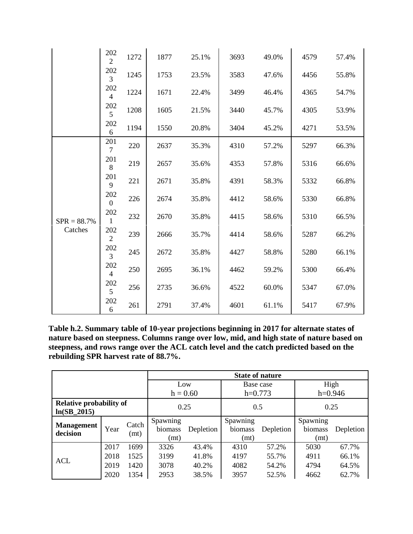|               | 202<br>$\overline{2}$ | 1272 | 1877 | 25.1% | 3693 | 49.0% | 4579 | 57.4% |
|---------------|-----------------------|------|------|-------|------|-------|------|-------|
|               | 202<br>3              | 1245 | 1753 | 23.5% | 3583 | 47.6% | 4456 | 55.8% |
|               | 202<br>$\overline{4}$ | 1224 | 1671 | 22.4% | 3499 | 46.4% | 4365 | 54.7% |
|               | 202<br>5              | 1208 | 1605 | 21.5% | 3440 | 45.7% | 4305 | 53.9% |
|               | 202<br>6              | 1194 | 1550 | 20.8% | 3404 | 45.2% | 4271 | 53.5% |
|               | 201<br>$\overline{7}$ | 220  | 2637 | 35.3% | 4310 | 57.2% | 5297 | 66.3% |
|               | 201<br>$\, 8$         | 219  | 2657 | 35.6% | 4353 | 57.8% | 5316 | 66.6% |
|               | 201<br>9              | 221  | 2671 | 35.8% | 4391 | 58.3% | 5332 | 66.8% |
|               | 202<br>$\overline{0}$ | 226  | 2674 | 35.8% | 4412 | 58.6% | 5330 | 66.8% |
| $SPR = 88.7%$ | 202<br>$\mathbf{1}$   | 232  | 2670 | 35.8% | 4415 | 58.6% | 5310 | 66.5% |
| Catches       | 202<br>$\overline{2}$ | 239  | 2666 | 35.7% | 4414 | 58.6% | 5287 | 66.2% |
|               | 202<br>$\overline{3}$ | 245  | 2672 | 35.8% | 4427 | 58.8% | 5280 | 66.1% |
|               | 202<br>$\overline{4}$ | 250  | 2695 | 36.1% | 4462 | 59.2% | 5300 | 66.4% |
|               | 202<br>5              | 256  | 2735 | 36.6% | 4522 | 60.0% | 5347 | 67.0% |
|               | 202<br>6              | 261  | 2791 | 37.4% | 4601 | 61.1% | 5417 | 67.9% |

**Table h.2. Summary table of 10-year projections beginning in 2017 for alternate states of nature based on steepness. Columns range over low, mid, and high state of nature based on steepness, and rows range over the ACL catch level and the catch predicted based on the rebuilding SPR harvest rate of 88.7%.** 

|                                          |      |               | <b>State of nature</b>                   |            |                             |           |                             |           |  |  |  |
|------------------------------------------|------|---------------|------------------------------------------|------------|-----------------------------|-----------|-----------------------------|-----------|--|--|--|
|                                          |      |               |                                          | Low        |                             | Base case | High                        |           |  |  |  |
|                                          |      |               |                                          | $h = 0.60$ |                             | $h=0.773$ | $h=0.946$                   |           |  |  |  |
| Relative probability of<br>$ln(SB_2015)$ |      |               | 0.25                                     |            | 0.5                         |           | 0.25                        |           |  |  |  |
| <b>Management</b><br>decision            | Year | Catch<br>(mt) | Spawning<br>biomass<br>Depletion<br>(mt) |            | Spawning<br>biomass<br>(mt) | Depletion | Spawning<br>biomass<br>(mt) | Depletion |  |  |  |
|                                          | 2017 | 1699          | 3326                                     | 43.4%      | 4310                        | 57.2%     | 5030                        | 67.7%     |  |  |  |
| <b>ACL</b>                               | 2018 | 1525          | 3199                                     | 41.8%      | 4197                        | 55.7%     | 4911                        | 66.1%     |  |  |  |
|                                          | 2019 | 1420          | 3078                                     | 40.2%      | 4082                        | 54.2%     | 4794                        | 64.5%     |  |  |  |
|                                          | 2020 | 1354          | 2953                                     | 38.5%      | 3957                        | 52.5%     | 4662                        | 62.7%     |  |  |  |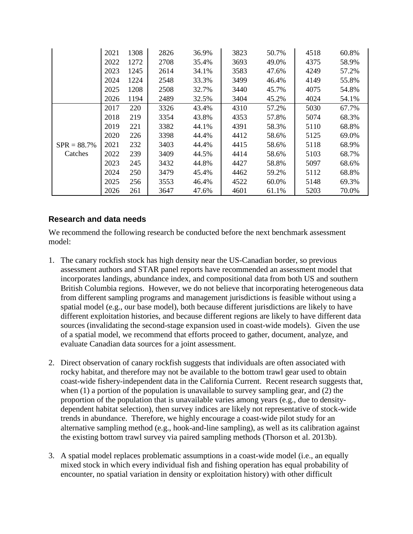|               | 2021 | 1308 | 2826 | 36.9% | 3823 | 50.7% | 4518 | 60.8% |
|---------------|------|------|------|-------|------|-------|------|-------|
|               | 2022 | 1272 | 2708 | 35.4% | 3693 | 49.0% | 4375 | 58.9% |
|               | 2023 | 1245 | 2614 | 34.1% | 3583 | 47.6% | 4249 | 57.2% |
|               | 2024 | 1224 | 2548 | 33.3% | 3499 | 46.4% | 4149 | 55.8% |
|               | 2025 | 1208 | 2508 | 32.7% | 3440 | 45.7% | 4075 | 54.8% |
|               | 2026 | 1194 | 2489 | 32.5% | 3404 | 45.2% | 4024 | 54.1% |
| $SPR = 88.7%$ | 2017 | 220  | 3326 | 43.4% | 4310 | 57.2% | 5030 | 67.7% |
|               | 2018 | 219  | 3354 | 43.8% | 4353 | 57.8% | 5074 | 68.3% |
|               | 2019 | 221  | 3382 | 44.1% | 4391 | 58.3% | 5110 | 68.8% |
|               | 2020 | 226  | 3398 | 44.4% | 4412 | 58.6% | 5125 | 69.0% |
|               | 2021 | 232  | 3403 | 44.4% | 4415 | 58.6% | 5118 | 68.9% |
| Catches       | 2022 | 239  | 3409 | 44.5% | 4414 | 58.6% | 5103 | 68.7% |
|               | 2023 | 245  | 3432 | 44.8% | 4427 | 58.8% | 5097 | 68.6% |
|               | 2024 | 250  | 3479 | 45.4% | 4462 | 59.2% | 5112 | 68.8% |
|               | 2025 | 256  | 3553 | 46.4% | 4522 | 60.0% | 5148 | 69.3% |
|               | 2026 | 261  | 3647 | 47.6% | 4601 | 61.1% | 5203 | 70.0% |

## <span id="page-18-0"></span>**Research and data needs**

We recommend the following research be conducted before the next benchmark assessment model:

- 1. The canary rockfish stock has high density near the US-Canadian border, so previous assessment authors and STAR panel reports have recommended an assessment model that incorporates landings, abundance index, and compositional data from both US and southern British Columbia regions. However, we do not believe that incorporating heterogeneous data from different sampling programs and management jurisdictions is feasible without using a spatial model (e.g., our base model), both because different jurisdictions are likely to have different exploitation histories, and because different regions are likely to have different data sources (invalidating the second-stage expansion used in coast-wide models). Given the use of a spatial model, we recommend that efforts proceed to gather, document, analyze, and evaluate Canadian data sources for a joint assessment.
- 2. Direct observation of canary rockfish suggests that individuals are often associated with rocky habitat, and therefore may not be available to the bottom trawl gear used to obtain coast-wide fishery-independent data in the California Current. Recent research suggests that, when (1) a portion of the population is unavailable to survey sampling gear, and (2) the proportion of the population that is unavailable varies among years (e.g., due to densitydependent habitat selection), then survey indices are likely not representative of stock-wide trends in abundance. Therefore, we highly encourage a coast-wide pilot study for an alternative sampling method (e.g., hook-and-line sampling), as well as its calibration against the existing bottom trawl survey via paired sampling methods (Thorson et al. 2013b).
- 3. A spatial model replaces problematic assumptions in a coast-wide model (i.e., an equally mixed stock in which every individual fish and fishing operation has equal probability of encounter, no spatial variation in density or exploitation history) with other difficult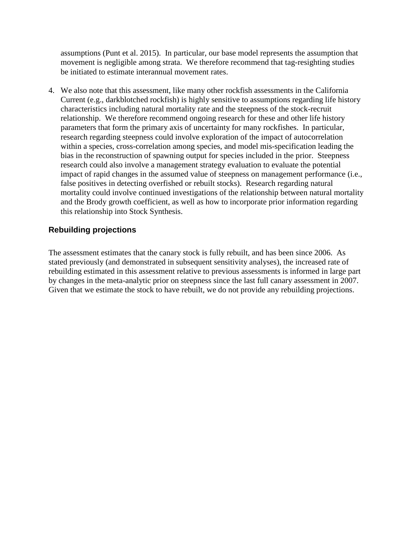assumptions (Punt et al. 2015). In particular, our base model represents the assumption that movement is negligible among strata. We therefore recommend that tag-resighting studies be initiated to estimate interannual movement rates.

4. We also note that this assessment, like many other rockfish assessments in the California Current (e.g., darkblotched rockfish) is highly sensitive to assumptions regarding life history characteristics including natural mortality rate and the steepness of the stock-recruit relationship. We therefore recommend ongoing research for these and other life history parameters that form the primary axis of uncertainty for many rockfishes. In particular, research regarding steepness could involve exploration of the impact of autocorrelation within a species, cross-correlation among species, and model mis-specification leading the bias in the reconstruction of spawning output for species included in the prior. Steepness research could also involve a management strategy evaluation to evaluate the potential impact of rapid changes in the assumed value of steepness on management performance (i.e., false positives in detecting overfished or rebuilt stocks). Research regarding natural mortality could involve continued investigations of the relationship between natural mortality and the Brody growth coefficient, as well as how to incorporate prior information regarding this relationship into Stock Synthesis.

## <span id="page-19-0"></span>**Rebuilding projections**

The assessment estimates that the canary stock is fully rebuilt, and has been since 2006. As stated previously (and demonstrated in subsequent sensitivity analyses), the increased rate of rebuilding estimated in this assessment relative to previous assessments is informed in large part by changes in the meta-analytic prior on steepness since the last full canary assessment in 2007. Given that we estimate the stock to have rebuilt, we do not provide any rebuilding projections.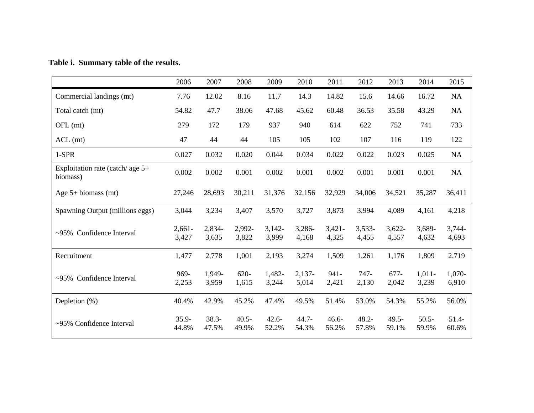## **Table i. Summary table of the results.**

|                                                | 2006              | 2007              | 2008              | 2009              | 2010              | 2011              | 2012              | 2013              | 2014              | 2015             |
|------------------------------------------------|-------------------|-------------------|-------------------|-------------------|-------------------|-------------------|-------------------|-------------------|-------------------|------------------|
| Commercial landings (mt)                       | 7.76              | 12.02             | 8.16              | 11.7              | 14.3              | 14.82             | 15.6              | 14.66             | 16.72             | NA               |
| Total catch (mt)                               | 54.82             | 47.7              | 38.06             | 47.68             | 45.62             | 60.48             | 36.53             | 35.58             | 43.29             | NA               |
| OFL (mt)                                       | 279               | 172               | 179               | 937               | 940               | 614               | 622               | 752               | 741               | 733              |
| $ACL$ (mt)                                     | 47                | 44                | 44                | 105               | 105               | 102               | 107               | 116               | 119               | 122              |
| 1-SPR                                          | 0.027             | 0.032             | 0.020             | 0.044             | 0.034             | 0.022             | 0.022             | 0.023             | 0.025             | NA               |
| Exploitation rate (catch/ age $5+$<br>biomass) | 0.002             | 0.002             | 0.001             | 0.002             | 0.001             | 0.002             | 0.001             | 0.001             | 0.001             | NA               |
| Age $5+$ biomass (mt)                          | 27,246            | 28,693            | 30,211            | 31,376            | 32,156            | 32,929            | 34,006            | 34,521            | 35,287            | 36,411           |
| Spawning Output (millions eggs)                | 3,044             | 3,234             | 3,407             | 3,570             | 3,727             | 3,873             | 3,994             | 4,089             | 4,161             | 4,218            |
| ~95% Confidence Interval                       | $2,661-$<br>3,427 | 2,834-<br>3,635   | 2,992-<br>3,822   | $3,142-$<br>3,999 | 3,286-<br>4,168   | $3,421-$<br>4,325 | $3,533-$<br>4,455 | $3,622-$<br>4,557 | 3,689-<br>4,632   | 3,744-<br>4,693  |
| Recruitment                                    | 1,477             | 2,778             | 1,001             | 2,193             | 3,274             | 1,509             | 1,261             | 1,176             | 1,809             | 2,719            |
| ~95% Confidence Interval                       | 969-<br>2,253     | 1,949-<br>3,959   | $620 -$<br>1,615  | 1,482-<br>3,244   | $2,137-$<br>5,014 | $941 -$<br>2,421  | $747-$<br>2,130   | $677-$<br>2,042   | $1,011-$<br>3,239 | 1,070-<br>6,910  |
| Depletion $(\%)$                               | 40.4%             | 42.9%             | 45.2%             | 47.4%             | 49.5%             | 51.4%             | 53.0%             | 54.3%             | 55.2%             | 56.0%            |
| ~95% Confidence Interval                       | $35.9 -$<br>44.8% | $38.3 -$<br>47.5% | $40.5 -$<br>49.9% | $42.6 -$<br>52.2% | $44.7 -$<br>54.3% | $46.6 -$<br>56.2% | $48.2 -$<br>57.8% | $49.5 -$<br>59.1% | $50.5 -$<br>59.9% | $51.4-$<br>60.6% |